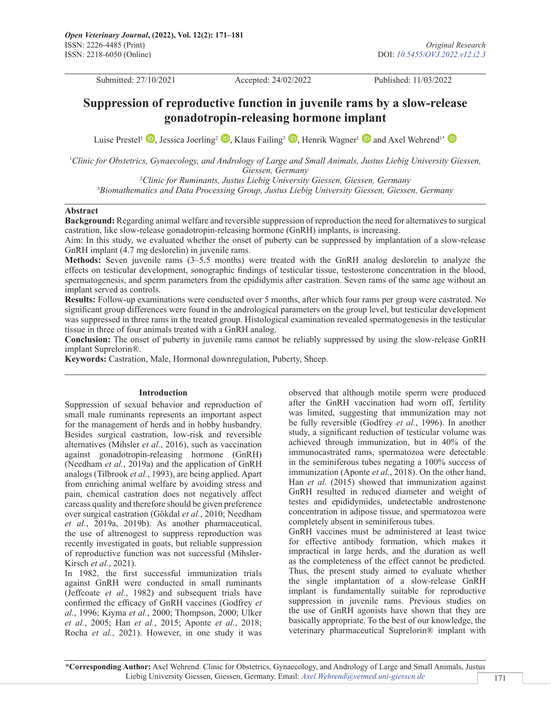Submitted: 27/10/2021 Accepted: 24/02/2022 Published: 11/03/2022

# **Suppression of reproductive function in juvenile rams by a slow-release gonadotropin-releasing hormone implant**

LuisePrestel<sup>1</sup> **D**[,](https://orcid.org/0000-0000-0000-0000) Jessica Joerling<sup>2</sup> **D**, Klaus Failing<sup>3</sup> **D**, Henrik Wagner<sup>1</sup> **D** and Axel Wehrend<sup>1\*</sup> **D** 

<sup>1</sup>Clinic for Obstetrics, Gynaecology, and Andrology of Large and Small Animals, Justus Liebig University Giessen, *Giessen, Germany*

2 *Clinic for Ruminants, Justus Liebig University Giessen, Giessen, Germany* 3 *Biomathematics and Data Processing Group, Justus Liebig University Giessen, Giessen, Germany*

#### **Abstract**

**Background:** Regarding animal welfare and reversible suppression of reproduction the need for alternatives to surgical castration, like slow-release gonadotropin-releasing hormone (GnRH) implants, is increasing.

Aim: In this study, we evaluated whether the onset of puberty can be suppressed by implantation of a slow-release GnRH implant (4.7 mg deslorelin) in juvenile rams.

**Methods:** Seven juvenile rams (3–5.5 months) were treated with the GnRH analog deslorelin to analyze the effects on testicular development, sonographic findings of testicular tissue, testosterone concentration in the blood, spermatogenesis, and sperm parameters from the epididymis after castration. Seven rams of the same age without an implant served as controls.

**Results:** Follow-up examinations were conducted over 5 months, after which four rams per group were castrated. No significant group differences were found in the andrological parameters on the group level, but testicular development was suppressed in three rams in the treated group. Histological examination revealed spermatogenesis in the testicular tissue in three of four animals treated with a GnRH analog.

**Conclusion:** The onset of puberty in juvenile rams cannot be reliably suppressed by using the slow-release GnRH implant Suprelorin®.

**Keywords:** Castration, Male, Hormonal downregulation, Puberty, Sheep.

#### **Introduction**

Suppression of sexual behavior and reproduction of small male ruminants represents an important aspect for the management of herds and in hobby husbandry. Besides surgical castration, low-risk and reversible alternatives (Mihsler *et al.*, 2016), such as vaccination against gonadotropin-releasing hormone (GnRH) (Needham *et al.*, 2019a) and the application of GnRH analogs (Tilbrook *et al.*, 1993), are being applied. Apart from enriching animal welfare by avoiding stress and pain, chemical castration does not negatively affect carcass quality and therefore should be given preference over surgical castration (Gökdal *et al.*, 2010; Needham *et al.*, 2019a, 2019b). As another pharmaceutical, the use of altrenogest to suppress reproduction was recently investigated in goats, but reliable suppression of reproductive function was not successful (Mihsler-Kirsch *et al.*, 2021).

In 1982, the first successful immunization trials against GnRH were conducted in small ruminants (Jeffcoate *et al.*, 1982) and subsequent trials have confirmed the efficacy of GnRH vaccines (Godfrey *et al.*, 1996; Kiyma *et al.*, 2000; Thompson, 2000; Ulker *et al.*, 2005; Han *et al.*, 2015; Aponte *et al.*, 2018; Rocha *et al.*, 2021). However, in one study it was

observed that although motile sperm were produced after the GnRH vaccination had worn off, fertility was limited, suggesting that immunization may not be fully reversible (Godfrey *et al.*, 1996). In another study, a significant reduction of testicular volume was achieved through immunization, but in 40% of the immunocastrated rams, spermatozoa were detectable in the seminiferous tubes negating a 100% success of immunization (Aponte *et al.*, 2018). On the other hand, Han *et al.* (2015) showed that immunization against GnRH resulted in reduced diameter and weight of testes and epididymides, undetectable androstenone concentration in adipose tissue, and spermatozoa were completely absent in seminiferous tubes.

GnRH vaccines must be administered at least twice for effective antibody formation, which makes it impractical in large herds, and the duration as well as the completeness of the effect cannot be predicted. Thus, the present study aimed to evaluate whether the single implantation of a slow-release GnRH implant is fundamentally suitable for reproductive suppression in juvenile rams. Previous studies on the use of GnRH agonists have shown that they are basically appropriate. To the best of our knowledge, the veterinary pharmaceutical Suprelorin® implant with

**\*Corresponding Author:** Axel Wehrend. Clinic for Obstetrics, Gynaecology, and Andrology of Large and Small Animals, Justus Liebig University Giessen, Giessen, Germany. Email: *[Axel.Wehrend@vetmed.uni-giessen.de](mailto:Axel.Wehrend@vetmed.uni-giessen.de)*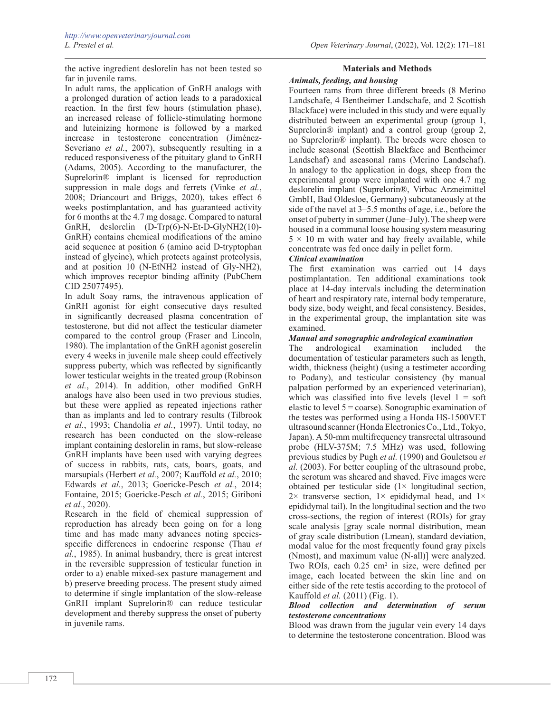the active ingredient deslorelin has not been tested so far in juvenile rams.

In adult rams, the application of GnRH analogs with a prolonged duration of action leads to a paradoxical reaction. In the first few hours (stimulation phase), an increased release of follicle-stimulating hormone and luteinizing hormone is followed by a marked increase in testosterone concentration (Jiménez-Severiano *et al.*, 2007), subsequently resulting in a reduced responsiveness of the pituitary gland to GnRH (Adams, 2005). According to the manufacturer, the Suprelorin® implant is licensed for reproduction suppression in male dogs and ferrets (Vinke *et al.*, 2008; Driancourt and Briggs, 2020), takes effect 6 weeks postimplantation, and has guaranteed activity for 6 months at the 4.7 mg dosage. Compared to natural GnRH, deslorelin (D-Trp(6)-N-Et-D-GlyNH2(10)- GnRH) contains chemical modifications of the amino acid sequence at position 6 (amino acid D-tryptophan instead of glycine), which protects against proteolysis, and at position 10 (N-EtNH2 instead of Gly-NH2), which improves receptor binding affinity (PubChem CID 25077495).

In adult Soay rams, the intravenous application of GnRH agonist for eight consecutive days resulted in significantly decreased plasma concentration of testosterone, but did not affect the testicular diameter compared to the control group (Fraser and Lincoln, 1980). The implantation of the GnRH agonist goserelin every 4 weeks in juvenile male sheep could effectively suppress puberty, which was reflected by significantly lower testicular weights in the treated group (Robinson *et al.*, 2014). In addition, other modified GnRH analogs have also been used in two previous studies, but these were applied as repeated injections rather than as implants and led to contrary results (Tilbrook *et al.*, 1993; Chandolia *et al.*, 1997). Until today, no research has been conducted on the slow-release implant containing deslorelin in rams, but slow-release GnRH implants have been used with varying degrees of success in rabbits, rats, cats, boars, goats, and marsupials (Herbert *et al.*, 2007; Kauffold *et al.*, 2010; Edwards *et al.*, 2013; Goericke-Pesch *et al.*, 2014; Fontaine, 2015; Goericke-Pesch *et al.*, 2015; Giriboni *et al.*, 2020).

Research in the field of chemical suppression of reproduction has already been going on for a long time and has made many advances noting speciesspecific differences in endocrine response (Thau *et al.*, 1985). In animal husbandry, there is great interest in the reversible suppression of testicular function in order to a) enable mixed-sex pasture management and b) preserve breeding process. The present study aimed to determine if single implantation of the slow-release GnRH implant Suprelorin® can reduce testicular development and thereby suppress the onset of puberty in juvenile rams.

# **Materials and Methods**

# *Animals, feeding, and housing*

Fourteen rams from three different breeds (8 Merino Landschafe, 4 Bentheimer Landschafe, and 2 Scottish Blackface) were included in this study and were equally distributed between an experimental group (group 1, Suprelorin® implant) and a control group (group 2, no Suprelorin® implant). The breeds were chosen to include seasonal (Scottish Blackface and Bentheimer Landschaf) and aseasonal rams (Merino Landschaf). In analogy to the application in dogs, sheep from the experimental group were implanted with one 4.7 mg deslorelin implant (Suprelorin®, Virbac Arzneimittel GmbH, Bad Oldesloe, Germany) subcutaneously at the side of the navel at 3–5.5 months of age, i.e., before the onset of puberty in summer (June–July). The sheep were housed in a communal loose housing system measuring  $5 \times 10$  m with water and hay freely available, while concentrate was fed once daily in pellet form.

### *Clinical examination*

The first examination was carried out 14 days postimplantation. Ten additional examinations took place at 14-day intervals including the determination of heart and respiratory rate, internal body temperature, body size, body weight, and fecal consistency. Besides, in the experimental group, the implantation site was examined.

### *Manual and sonographic andrological examination*

The andrological examination included the documentation of testicular parameters such as length, width, thickness (height) (using a testimeter according to Podany), and testicular consistency (by manual palpation performed by an experienced veterinarian), which was classified into five levels (level  $1 = soft$ elastic to level  $5 = \text{coarse}$ ). Sonographic examination of the testes was performed using a Honda HS-1500VET ultrasound scanner (Honda Electronics Co., Ltd., Tokyo, Japan). A 50-mm multifrequency transrectal ultrasound probe (HLV-375M; 7.5 MHz) was used, following previous studies by Pugh *et al.* (1990) and Gouletsou *et al.* (2003). For better coupling of the ultrasound probe, the scrotum was sheared and shaved. Five images were obtained per testicular side  $(1 \times$  longitudinal section,  $2\times$  transverse section,  $1\times$  epididymal head, and  $1\times$ epididymal tail). In the longitudinal section and the two cross-sections, the region of interest (ROIs) for gray scale analysis [gray scale normal distribution, mean of gray scale distribution (Lmean), standard deviation, modal value for the most frequently found gray pixels (Nmost), and maximum value (N-all)] were analyzed. Two ROIs, each 0.25 cm² in size, were defined per image, each located between the skin line and on either side of the rete testis according to the protocol of Kauffold *et al.* (2011) (Fig. 1).

### *Blood collection and determination of serum testosterone concentrations*

Blood was drawn from the jugular vein every 14 days to determine the testosterone concentration. Blood was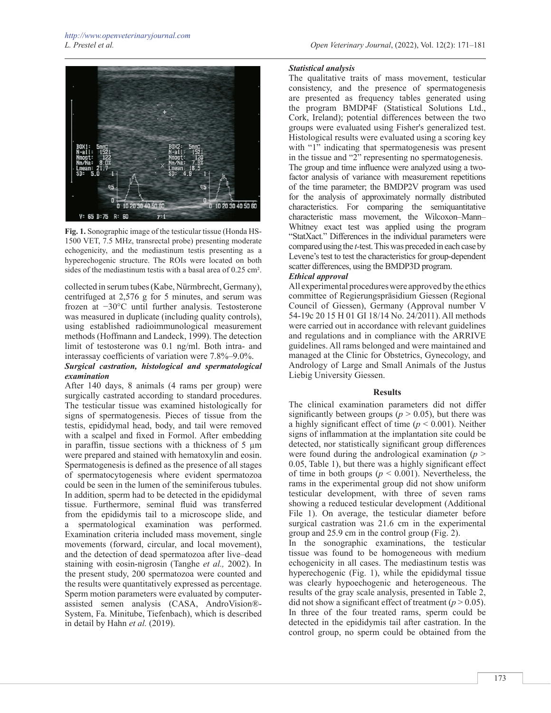

**Fig. 1.** Sonographic image of the testicular tissue (Honda HS-1500 VET, 7.5 MHz, transrectal probe) presenting moderate echogenicity, and the mediastinum testis presenting as a hyperechogenic structure. The ROIs were located on both sides of the mediastinum testis with a basal area of 0.25 cm².

collected in serum tubes (Kabe, Nürmbrecht, Germany), centrifuged at 2,576 g for 5 minutes, and serum was frozen at −30°C until further analysis. Testosterone was measured in duplicate (including quality controls), using established radioimmunological measurement methods (Hoffmann and Landeck, 1999). The detection limit of testosterone was 0.1 ng/ml. Both intra- and interassay coefficients of variation were 7.8%–9.0%.

# *Surgical castration, histological and spermatological examination*

After 140 days, 8 animals (4 rams per group) were surgically castrated according to standard procedures. The testicular tissue was examined histologically for signs of spermatogenesis. Pieces of tissue from the testis, epididymal head, body, and tail were removed with a scalpel and fixed in Formol. After embedding in paraffin, tissue sections with a thickness of  $5 \mu m$ were prepared and stained with hematoxylin and eosin. Spermatogenesis is defined as the presence of all stages of spermatocytogenesis where evident spermatozoa could be seen in the lumen of the seminiferous tubules. In addition, sperm had to be detected in the epididymal tissue. Furthermore, seminal fluid was transferred from the epididymis tail to a microscope slide, and a spermatological examination was performed. Examination criteria included mass movement, single movements (forward, circular, and local movement), and the detection of dead spermatozoa after live–dead staining with eosin-nigrosin (Tanghe *et al.,* 2002). In the present study, 200 spermatozoa were counted and the results were quantitatively expressed as percentage. Sperm motion parameters were evaluated by computerassisted semen analysis (CASA, AndroVision®- System, Fa. Minitube, Tiefenbach), which is described in detail by Hahn *et al.* (2019).

# *Statistical analysis*

The qualitative traits of mass movement, testicular consistency, and the presence of spermatogenesis are presented as frequency tables generated using the program BMDP4F (Statistical Solutions Ltd., Cork, Ireland); potential differences between the two groups were evaluated using Fisher's generalized test. Histological results were evaluated using a scoring key with "1" indicating that spermatogenesis was present in the tissue and "2" representing no spermatogenesis. The group and time influence were analyzed using a twofactor analysis of variance with measurement repetitions of the time parameter; the BMDP2V program was used for the analysis of approximately normally distributed characteristics. For comparing the semiquantitative characteristic mass movement, the Wilcoxon–Mann– Whitney exact test was applied using the program "StatXact." Differences in the individual parameters were compared using the *t-*test. This was preceded in each case by Levene's test to test the characteristics for group-dependent scatter differences, using the BMDP3D program.

# *Ethical approval*

All experimental procedures were approved by the ethics committee of Regierungspräsidium Giessen (Regional Council of Giessen), Germany (Approval number V 54-19c 20 15 H 01 GI 18/14 No. 24/2011). All methods were carried out in accordance with relevant guidelines and regulations and in compliance with the ARRIVE guidelines. All rams belonged and were maintained and managed at the Clinic for Obstetrics, Gynecology, and Andrology of Large and Small Animals of the Justus Liebig University Giessen.

### **Results**

The clinical examination parameters did not differ significantly between groups ( $p > 0.05$ ), but there was a highly significant effect of time (*p* < 0.001). Neither signs of inflammation at the implantation site could be detected, nor statistically significant group differences were found during the andrological examination (*p* > 0.05, Table 1), but there was a highly significant effect of time in both groups ( $p < 0.001$ ). Nevertheless, the rams in the experimental group did not show uniform testicular development, with three of seven rams showing a reduced testicular development (Additional File 1). On average, the testicular diameter before surgical castration was 21.6 cm in the experimental group and 25.9 cm in the control group (Fig. 2).

In the sonographic examinations, the testicular tissue was found to be homogeneous with medium echogenicity in all cases. The mediastinum testis was hyperechogenic (Fig. 1), while the epididymal tissue was clearly hypoechogenic and heterogeneous. The results of the gray scale analysis, presented in Table 2, did not show a significant effect of treatment ( $p > 0.05$ ). In three of the four treated rams, sperm could be detected in the epididymis tail after castration. In the control group, no sperm could be obtained from the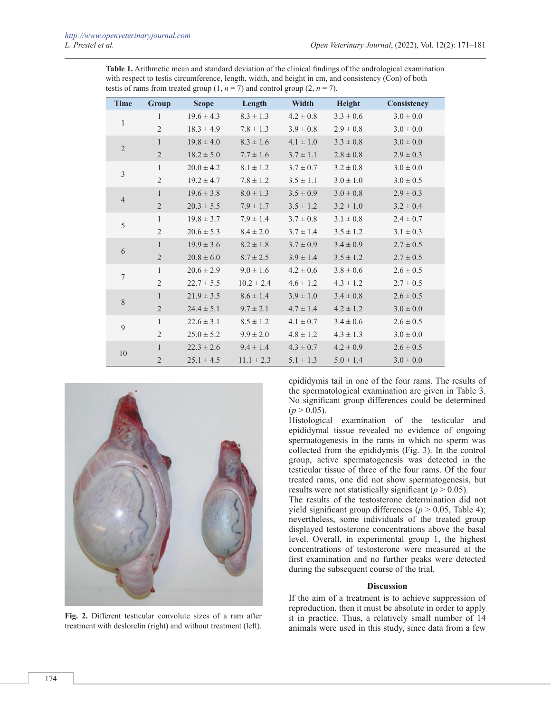**Table 1.** Arithmetic mean and standard deviation of the clinical findings of the andrological examination with respect to testis circumference, length, width, and height in cm, and consistency (Con) of both testis of rams from treated group  $(1, n = 7)$  and control group  $(2, n = 7)$ .

| <b>Time</b>                                                              | Group          | <b>Scope</b>   | Length         | Width         | Height        | Consistency   |
|--------------------------------------------------------------------------|----------------|----------------|----------------|---------------|---------------|---------------|
| $\mathbf{1}$                                                             | $\mathbf{1}$   | $19.6 \pm 4.3$ | $8.3 \pm 1.3$  | $4.2 \pm 0.8$ | $3.3 \pm 0.6$ | $3.0 \pm 0.0$ |
|                                                                          | $\overline{2}$ | $18.3 \pm 4.9$ | $7.8 \pm 1.3$  | $3.9 \pm 0.8$ | $2.9 \pm 0.8$ | $3.0 \pm 0.0$ |
|                                                                          | $\mathbf{1}$   | $19.8 \pm 4.0$ | $8.3 \pm 1.6$  | $4.1 \pm 1.0$ | $3.3 \pm 0.8$ | $3.0 \pm 0.0$ |
|                                                                          | $\sqrt{2}$     | $18.2 \pm 5.0$ | $7.7 \pm 1.6$  | $3.7 \pm 1.1$ | $2.8 \pm 0.8$ | $2.9 \pm 0.3$ |
|                                                                          | $\mathbf{1}$   | $20.0 \pm 4.2$ | $8.1 \pm 1.2$  | $3.7 \pm 0.7$ | $3.2 \pm 0.8$ | $3.0 \pm 0.0$ |
|                                                                          | $\mathfrak{2}$ | $19.2 \pm 4.7$ | $7.8 \pm 1.2$  | $3.5 \pm 1.1$ | $3.0 \pm 1.0$ | $3.0 \pm 0.5$ |
|                                                                          | $\mathbf{1}$   | $19.6 \pm 3.8$ | $8.0 \pm 1.3$  | $3.5 \pm 0.9$ | $3.0 \pm 0.8$ | $2.9 \pm 0.3$ |
|                                                                          | $\sqrt{2}$     | $20.3 \pm 5.5$ | $7.9 \pm 1.7$  | $3.5 \pm 1.2$ | $3.2 \pm 1.0$ | $3.2 \pm 0.4$ |
| 5                                                                        | $\mathbf{1}$   | $19.8 \pm 3.7$ | $7.9 \pm 1.4$  | $3.7 \pm 0.8$ | $3.1 \pm 0.8$ | $2.4 \pm 0.7$ |
|                                                                          | $\mathfrak{2}$ | $20.6 \pm 5.3$ | $8.4 \pm 2.0$  | $3.7 \pm 1.4$ | $3.5 \pm 1.2$ | $3.1 \pm 0.3$ |
|                                                                          | $\mathbf{1}$   | $19.9 \pm 3.6$ | $8.2 \pm 1.8$  | $3.7 \pm 0.9$ | $3.4 \pm 0.9$ | $2.7 \pm 0.5$ |
|                                                                          | $\overline{2}$ | $20.8 \pm 6.0$ | $8.7 \pm 2.5$  | $3.9 \pm 1.4$ | $3.5 \pm 1.2$ | $2.7 \pm 0.5$ |
|                                                                          | $\mathbf{1}$   | $20.6 \pm 2.9$ | $9.0 \pm 1.6$  | $4.2 \pm 0.6$ | $3.8 \pm 0.6$ | $2.6 \pm 0.5$ |
|                                                                          | $\overline{2}$ | $22.7 \pm 5.5$ | $10.2 \pm 2.4$ | $4.6 \pm 1.2$ | $4.3 \pm 1.2$ | $2.7 \pm 0.5$ |
|                                                                          | $\mathbf{1}$   | $21.9 \pm 3.5$ | $8.6 \pm 1.4$  | $3.9 \pm 1.0$ | $3.4 \pm 0.8$ | $2.6 \pm 0.5$ |
|                                                                          | $\overline{2}$ | $24.4 \pm 5.1$ | $9.7 \pm 2.1$  | $4.7 \pm 1.4$ | $4.2 \pm 1.2$ | $3.0 \pm 0.0$ |
|                                                                          | $\mathbf{1}$   | $22.6 \pm 3.1$ | $8.5 \pm 1.2$  | $4.1 \pm 0.7$ | $3.4 \pm 0.6$ | $2.6 \pm 0.5$ |
|                                                                          | $\overline{2}$ | $25.0 \pm 5.2$ | $9.9 \pm 2.0$  | $4.8 \pm 1.2$ | $4.3 \pm 1.3$ | $3.0 \pm 0.0$ |
| $\sqrt{2}$<br>$\mathfrak{Z}$<br>$\overline{4}$<br>6<br>7<br>8<br>9<br>10 | $\mathbf{1}$   | $22.3 \pm 2.6$ | $9.4 \pm 1.4$  | $4.3 \pm 0.7$ | $4.2 \pm 0.9$ | $2.6 \pm 0.5$ |
|                                                                          | $\mathbf{2}$   | $25.1 \pm 4.5$ | $11.1 \pm 2.3$ | $5.1 \pm 1.3$ | $5.0 \pm 1.4$ | $3.0 \pm 0.0$ |



**Fig. 2.** Different testicular convolute sizes of a ram after treatment with deslorelin (right) and without treatment (left).

epididymis tail in one of the four rams. The results of the spermatological examination are given in Table 3. No significant group differences could be determined  $(p > 0.05)$ .

Histological examination of the testicular and epididymal tissue revealed no evidence of ongoing spermatogenesis in the rams in which no sperm was collected from the epididymis (Fig. 3). In the control group, active spermatogenesis was detected in the testicular tissue of three of the four rams. Of the four treated rams, one did not show spermatogenesis, but results were not statistically significant ( $p > 0.05$ ).

The results of the testosterone determination did not yield significant group differences ( $p > 0.05$ , Table 4); nevertheless, some individuals of the treated group displayed testosterone concentrations above the basal level. Overall, in experimental group 1, the highest concentrations of testosterone were measured at the first examination and no further peaks were detected during the subsequent course of the trial.

### **Discussion**

If the aim of a treatment is to achieve suppression of reproduction, then it must be absolute in order to apply it in practice. Thus, a relatively small number of 14 animals were used in this study, since data from a few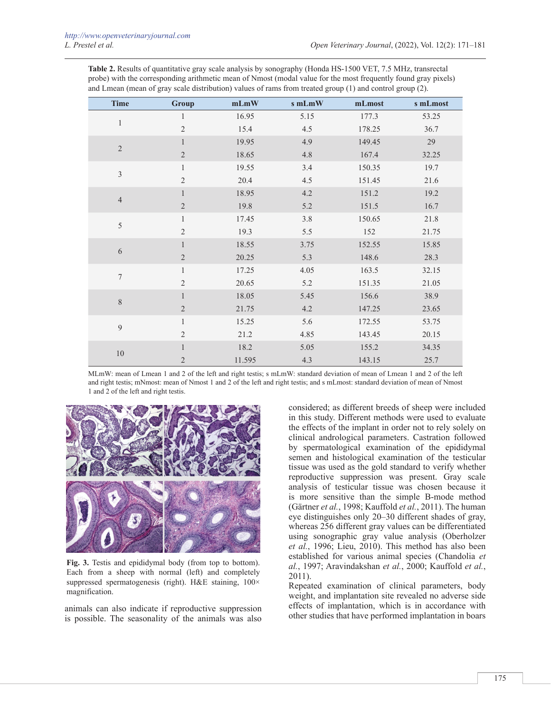**Table 2.** Results of quantitative gray scale analysis by sonography (Honda HS-1500 VET, 7.5 MHz, transrectal probe) with the corresponding arithmetic mean of Nmost (modal value for the most frequently found gray pixels) and Lmean (mean of gray scale distribution) values of rams from treated group (1) and control group (2).

| <b>Time</b>      | Group          | mLmW   | s mLmW | mLmost | s mLmost |
|------------------|----------------|--------|--------|--------|----------|
| $\mathbf{1}$     | 1              | 16.95  | 5.15   | 177.3  | 53.25    |
|                  | $\overline{2}$ | 15.4   | 4.5    | 178.25 | 36.7     |
| $\sqrt{2}$       | $\mathbf{1}$   | 19.95  | 4.9    | 149.45 | 29       |
|                  | $\sqrt{2}$     | 18.65  | 4.8    | 167.4  | 32.25    |
| $\mathfrak z$    | $\mathbf{1}$   | 19.55  | 3.4    | 150.35 | 19.7     |
|                  | $\mathfrak{2}$ | 20.4   | 4.5    | 151.45 | 21.6     |
| $\sqrt{4}$       | $\mathbf{1}$   | 18.95  | 4.2    | 151.2  | 19.2     |
|                  | $\overline{2}$ | 19.8   | 5.2    | 151.5  | 16.7     |
| $\sqrt{5}$       | $\mathbf{1}$   | 17.45  | 3.8    | 150.65 | 21.8     |
|                  | $\mathfrak{2}$ | 19.3   | 5.5    | 152    | 21.75    |
| 6                | $\mathbf{1}$   | 18.55  | 3.75   | 152.55 | 15.85    |
|                  | $\overline{2}$ | 20.25  | 5.3    | 148.6  | 28.3     |
| $\boldsymbol{7}$ | $\mathbf{1}$   | 17.25  | 4.05   | 163.5  | 32.15    |
|                  | $\overline{2}$ | 20.65  | 5.2    | 151.35 | 21.05    |
|                  | $\mathbf{1}$   | 18.05  | 5.45   | 156.6  | 38.9     |
| $\,8\,$          | 2              | 21.75  | 4.2    | 147.25 | 23.65    |
|                  | $\mathbf{1}$   | 15.25  | 5.6    | 172.55 | 53.75    |
| 9                | $\overline{2}$ | 21.2   | 4.85   | 143.45 | 20.15    |
|                  | $\mathbf{1}$   | 18.2   | 5.05   | 155.2  | 34.35    |
| $10\,$           | $\overline{2}$ | 11.595 | 4.3    | 143.15 | 25.7     |

MLmW: mean of Lmean 1 and 2 of the left and right testis; s mLmW: standard deviation of mean of Lmean 1 and 2 of the left and right testis; mNmost: mean of Nmost 1 and 2 of the left and right testis; and s mLmost: standard deviation of mean of Nmost 1 and 2 of the left and right testis.



**Fig. 3.** Testis and epididymal body (from top to bottom). Each from a sheep with normal (left) and completely suppressed spermatogenesis (right). H&E staining,  $100 \times$ magnification.

animals can also indicate if reproductive suppression is possible. The seasonality of the animals was also

considered; as different breeds of sheep were included in this study. Different methods were used to evaluate the effects of the implant in order not to rely solely on clinical andrological parameters. Castration followed by spermatological examination of the epididymal semen and histological examination of the testicular tissue was used as the gold standard to verify whether reproductive suppression was present. Gray scale analysis of testicular tissue was chosen because it is more sensitive than the simple B-mode method (Gärtner *et al.*, 1998; Kauffold *et al.*, 2011). The human eye distinguishes only 20–30 different shades of gray, whereas 256 different gray values can be differentiated using sonographic gray value analysis (Oberholzer *et al.*, 1996; Lieu, 2010). This method has also been established for various animal species (Chandolia *et al.*, 1997; Aravindakshan *et al.*, 2000; Kauffold *et al.*, 2011).

Repeated examination of clinical parameters, body weight, and implantation site revealed no adverse side effects of implantation, which is in accordance with other studies that have performed implantation in boars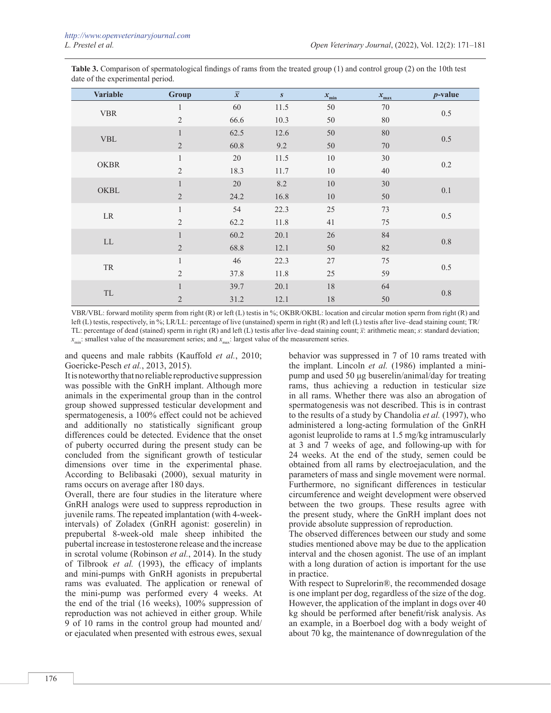| <b>Variable</b>                                  | <b>Group</b>   | $\overline{x}$ | S    | $x_{\rm min}$ | $x_{\rm max}$ | $p$ -value |
|--------------------------------------------------|----------------|----------------|------|---------------|---------------|------------|
| <b>VBR</b>                                       |                | 60             | 11.5 | 50            | $70\,$        | 0.5        |
|                                                  | $\mathfrak{2}$ | 66.6           | 10.3 | 50            | $80\,$        |            |
| <b>VBL</b>                                       | $\mathbf{1}$   | 62.5           | 12.6 | 50            | 80            | 0.5        |
|                                                  | $\overline{2}$ | 60.8           | 9.2  | 50            | $70\,$        |            |
| <b>OKBR</b>                                      | $\mathbf{1}$   | 20             | 11.5 | $10\,$        | 30            | $0.2\,$    |
|                                                  | $\overline{2}$ | 18.3           | 11.7 | $10\,$        | $40\,$        |            |
|                                                  | $\,1$          | $20\,$         | 8.2  | $10\,$        | $30\,$        | $0.1\,$    |
| OKBL                                             | $\overline{2}$ | 24.2           | 16.8 | 10            | 50            |            |
|                                                  | $\mathbf{1}$   | 54             | 22.3 | 25            | 73            | 0.5        |
| $\rm LR$                                         | $\overline{2}$ | 62.2           | 11.8 | 41            | 75            |            |
| ${\rm LL}$                                       | $\mathbf{1}$   | 60.2           | 20.1 | $26\,$        | 84            | $0.8\,$    |
|                                                  | $\overline{2}$ | 68.8           | 12.1 | 50            | $82\,$        |            |
| ${\rm TR}$                                       | $\mathbf{1}$   | 46             | 22.3 | 27            | 75            | 0.5        |
|                                                  | $\mathfrak{2}$ | 37.8           | 11.8 | 25            | 59            |            |
|                                                  | $\mathbf{1}$   | 39.7           | 20.1 | $18\,$        | 64            | $0.8\,$    |
| $\ensuremath{\mathsf{T}}\ensuremath{\mathsf{L}}$ | $\sqrt{2}$     | 31.2           | 12.1 | $18\,$        | $50\,$        |            |

**Table 3.** Comparison of spermatological findings of rams from the treated group (1) and control group (2) on the 10th test date of the experimental period.

VBR/VBL: forward motility sperm from right (R) or left (L) testis in %; OKBR/OKBL: location and circular motion sperm from right (R) and left (L) testis, respectively, in %; LR/LL: percentage of live (unstained) sperm in right (R) and left (L) testis after live–dead staining count; TR/ TL: percentage of dead (stained) sperm in right (R) and left (L) testis after live–dead staining count; *x̅*: arithmetic mean; *s*: standard deviation; *x*<sub>min</sub>: smallest value of the measurement series; and *x*<sub>max</sub>: largest value of the measurement series.

and queens and male rabbits (Kauffold *et al.*, 2010; Goericke-Pesch *et al.*, 2013, 2015).

It is noteworthy that no reliable reproductive suppression was possible with the GnRH implant. Although more animals in the experimental group than in the control group showed suppressed testicular development and spermatogenesis, a 100% effect could not be achieved and additionally no statistically significant group differences could be detected. Evidence that the onset of puberty occurred during the present study can be concluded from the significant growth of testicular dimensions over time in the experimental phase. According to Belibasaki (2000), sexual maturity in rams occurs on average after 180 days.

Overall, there are four studies in the literature where GnRH analogs were used to suppress reproduction in juvenile rams. The repeated implantation (with 4-weekintervals) of Zoladex (GnRH agonist: goserelin) in prepubertal 8-week-old male sheep inhibited the pubertal increase in testosterone release and the increase in scrotal volume (Robinson *et al.*, 2014). In the study of Tilbrook *et al.* (1993), the efficacy of implants and mini-pumps with GnRH agonists in prepubertal rams was evaluated. The application or renewal of the mini-pump was performed every 4 weeks. At the end of the trial (16 weeks), 100% suppression of reproduction was not achieved in either group. While 9 of 10 rams in the control group had mounted and/ or ejaculated when presented with estrous ewes, sexual

behavior was suppressed in 7 of 10 rams treated with the implant. Lincoln *et al.* (1986) implanted a minipump and used 50 μg buserelin/animal/day for treating rams, thus achieving a reduction in testicular size in all rams. Whether there was also an abrogation of spermatogenesis was not described. This is in contrast to the results of a study by Chandolia *et al.* (1997), who administered a long-acting formulation of the GnRH agonist leuprolide to rams at 1.5 mg/kg intramuscularly at 3 and 7 weeks of age, and following-up with for 24 weeks. At the end of the study, semen could be obtained from all rams by electroejaculation, and the parameters of mass and single movement were normal. Furthermore, no significant differences in testicular circumference and weight development were observed between the two groups. These results agree with the present study, where the GnRH implant does not provide absolute suppression of reproduction.

The observed differences between our study and some studies mentioned above may be due to the application interval and the chosen agonist. The use of an implant with a long duration of action is important for the use in practice.

With respect to Suprelorin®, the recommended dosage is one implant per dog, regardless of the size of the dog. However, the application of the implant in dogs over 40 kg should be performed after benefit/risk analysis. As an example, in a Boerboel dog with a body weight of about 70 kg, the maintenance of downregulation of the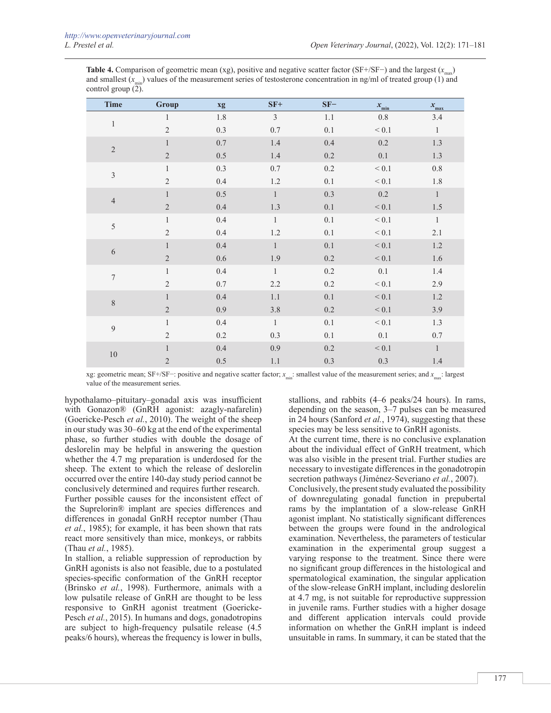**Table 4.** Comparison of geometric mean (xg), positive and negative scatter factor (SF+/SF−) and the largest  $(x_{\text{max}})$ and smallest  $(x_{\text{max}})$  values of the measurement series of testosterone concentration in ng/ml of treated group (1) and control group  $(2)$ .

| <b>Time</b>      | Group          | xg      | $SF+$          | $SF-$   | $x_{\rm min}$ | $x_{\text{max}}$ |
|------------------|----------------|---------|----------------|---------|---------------|------------------|
| 1                | 1              | $1.8\,$ | $\overline{3}$ | 1.1     | $0.8\,$       | 3.4              |
|                  | $\overline{2}$ | 0.3     | $0.7\,$        | 0.1     | < 0.1         | $\,1\,$          |
| $\sqrt{2}$       | $\mathbf{1}$   | $0.7\,$ | 1.4            | 0.4     | 0.2           | $1.3\,$          |
|                  | $\overline{2}$ | 0.5     | $1.4\,$        | 0.2     | 0.1           | 1.3              |
| $\mathfrak{Z}$   | $\mathbf{1}$   | 0.3     | $0.7\,$        | 0.2     | < 0.1         | $0.8\,$          |
|                  | $\overline{2}$ | 0.4     | 1.2            | 0.1     | $\leq 0.1$    | $1.8\,$          |
|                  | $\mathbf{1}$   | 0.5     | $\mathbf{1}$   | 0.3     | 0.2           | $1\,$            |
| $\overline{4}$   | $\sqrt{2}$     | 0.4     | $1.3\,$        | 0.1     | < 0.1         | $1.5\,$          |
|                  | $\mathbf{1}$   | 0.4     | $\mathbf{1}$   | 0.1     | < 0.1         | $\mathbf{1}$     |
| $\sqrt{5}$       | $\overline{2}$ | 0.4     | $1.2\,$        | 0.1     | $< 0.1$       | 2.1              |
| $\sqrt{6}$       | $\mathbf{1}$   | 0.4     | $\mathbf{1}$   | 0.1     | $< 0.1$       | $1.2\,$          |
|                  | $\sqrt{2}$     | 0.6     | 1.9            | $0.2\,$ | $< 0.1$       | 1.6              |
| $\boldsymbol{7}$ | $\mathbf{1}$   | 0.4     | $\mathbf{1}$   | 0.2     | 0.1           | 1.4              |
|                  | $\overline{2}$ | $0.7\,$ | 2.2            | $0.2\,$ | $< 0.1$       | 2.9              |
| $8\,$            | $\mathbf{1}$   | 0.4     | $1.1\,$        | 0.1     | $< 0.1$       | $1.2\,$          |
|                  | $\overline{2}$ | 0.9     | 3.8            | 0.2     | < 0.1         | 3.9              |
| $\mathfrak{g}$   | $\mathbf{1}$   | 0.4     | $\mathbf{1}$   | 0.1     | < 0.1         | $1.3\,$          |
|                  | $\overline{2}$ | 0.2     | 0.3            | 0.1     | 0.1           | $0.7\,$          |
|                  | $\mathbf{1}$   | $0.4\,$ | 0.9            | $0.2\,$ | < 0.1         | $\mathbf{1}$     |
| $10\,$           | $\sqrt{2}$     | $0.5\,$ | 1.1            | 0.3     | 0.3           | $1.4\,$          |

xg: geometric mean; SF+/SF−: positive and negative scatter factor; *x<sub>min</sub>*: smallest value of the measurement series; and *x<sub>min</sub>*: largest value of the measurement series.

hypothalamo–pituitary–gonadal axis was insufficient with Gonazon® (GnRH agonist: azagly-nafarelin) (Goericke-Pesch *et al.*, 2010). The weight of the sheep in our study was 30–60 kg at the end of the experimental phase, so further studies with double the dosage of deslorelin may be helpful in answering the question whether the 4.7 mg preparation is underdosed for the sheep. The extent to which the release of deslorelin occurred over the entire 140-day study period cannot be conclusively determined and requires further research. Further possible causes for the inconsistent effect of the Suprelorin® implant are species differences and differences in gonadal GnRH receptor number (Thau *et al.*, 1985); for example, it has been shown that rats react more sensitively than mice, monkeys, or rabbits (Thau *et al.*, 1985).

In stallion, a reliable suppression of reproduction by GnRH agonists is also not feasible, due to a postulated species-specific conformation of the GnRH receptor (Brinsko *et al.*, 1998). Furthermore, animals with a low pulsatile release of GnRH are thought to be less responsive to GnRH agonist treatment (Goericke-Pesch *et al.*, 2015). In humans and dogs, gonadotropins are subject to high-frequency pulsatile release (4.5 peaks/6 hours), whereas the frequency is lower in bulls,

stallions, and rabbits (4–6 peaks/24 hours). In rams, depending on the season, 3–7 pulses can be measured in 24 hours (Sanford *et al.*, 1974), suggesting that these species may be less sensitive to GnRH agonists.

At the current time, there is no conclusive explanation about the individual effect of GnRH treatment, which was also visible in the present trial. Further studies are necessary to investigate differences in the gonadotropin secretion pathways (Jiménez-Severiano *et al.*, 2007).

Conclusively, the present study evaluated the possibility of downregulating gonadal function in prepubertal rams by the implantation of a slow-release GnRH agonist implant. No statistically significant differences between the groups were found in the andrological examination. Nevertheless, the parameters of testicular examination in the experimental group suggest a varying response to the treatment. Since there were no significant group differences in the histological and spermatological examination, the singular application of the slow-release GnRH implant, including deslorelin at 4.7 mg, is not suitable for reproductive suppression in juvenile rams. Further studies with a higher dosage and different application intervals could provide information on whether the GnRH implant is indeed unsuitable in rams. In summary, it can be stated that the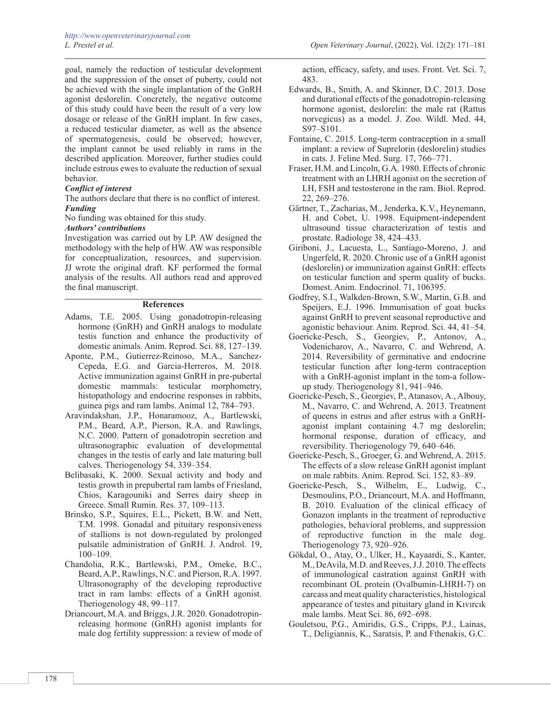goal, namely the reduction of testicular development and the suppression of the onset of puberty, could not be achieved with the single implantation of the GnRH agonist deslorelin. Concretely, the negative outcome of this study could have been the result of a very low dosage or release of the GnRH implant. In few cases, a reduced testicular diameter, as well as the absence of spermatogenesis, could be observed; however, the implant cannot be used reliably in rams in the described application. Moreover, further studies could include estrous ewes to evaluate the reduction of sexual behavior.

# *Conflict of interest*

The authors declare that there is no conflict of interest. *Funding*

No funding was obtained for this study.

# *Authors' contributions*

Investigation was carried out by LP. AW designed the methodology with the help of HW. AW was responsible for conceptualization, resources, and supervision. JJ wrote the original draft. KF performed the formal analysis of the results. All authors read and approved the final manuscript.

### **References**

- Adams, T.E. 2005. Using gonadotropin-releasing hormone (GnRH) and GnRH analogs to modulate testis function and enhance the productivity of domestic animals. Anim. Reprod. Sci. 88, 127–139.
- Aponte, P.M., Gutierrez-Reinoso, M.A., Sanchez-Cepeda, E.G. and Garcia-Herreros, M. 2018. Active immunization against GnRH in pre-pubertal domestic mammals: testicular morphometry, histopathology and endocrine responses in rabbits, guinea pigs and ram lambs. Animal 12, 784–793.
- Aravindakshan, J.P., Honaramooz, A., Bartlewski, P.M., Beard, A.P., Pierson, R.A. and Rawlings, N.C. 2000. Pattern of gonadotropin secretion and ultrasonographic evaluation of developmental changes in the testis of early and late maturing bull calves. Theriogenology 54, 339–354.
- Belibasaki, K. 2000. Sexual activity and body and testis growth in prepubertal ram lambs of Friesland, Chios, Karagouniki and Serres dairy sheep in Greece. Small Rumin. Res. 37, 109–113.
- Brinsko, S.P., Squires, E.L., Pickett, B.W. and Nett, T.M. 1998. Gonadal and pituitary responsiveness of stallions is not down-regulated by prolonged pulsatile administration of GnRH. J. Androl. 19, 100–109.
- Chandolia, R.K., Bartlewski, P.M., Omeke, B.C., Beard, A.P., Rawlings, N.C. and Pierson, R.A. 1997. Ultrasonography of the developing reproductive tract in ram lambs: effects of a GnRH agonist. Theriogenology 48, 99–117.
- Driancourt, M.A. and Briggs, J.R. 2020. Gonadotropinreleasing hormone (GnRH) agonist implants for male dog fertility suppression: a review of mode of

action, efficacy, safety, and uses. Front. Vet. Sci. 7, 483.

- Edwards, B., Smith, A. and Skinner, D.C. 2013. Dose and durational effects of the gonadotropin-releasing hormone agonist, deslorelin: the male rat (Rattus norvegicus) as a model. J. Zoo. Wildl. Med. 44, S97–S101.
- Fontaine, C. 2015. Long-term contraception in a small implant: a review of Suprelorin (deslorelin) studies in cats. J. Feline Med. Surg. 17, 766–771.
- Fraser, H.M. and Lincoln, G.A. 1980. Effects of chronic treatment with an LHRH agonist on the secretion of LH, FSH and testosterone in the ram. Biol. Reprod. 22, 269–276.
- Gärtner, T., Zacharias, M., Jenderka, K.V., Heynemann, H. and Cobet, U. 1998. Equipment-independent ultrasound tissue characterization of testis and prostate. Radiologe 38, 424–433.
- Giriboni, J., Lacuesta, L., Santiago-Moreno, J. and Ungerfeld, R. 2020. Chronic use of a GnRH agonist (deslorelin) or immunization against GnRH: effects on testicular function and sperm quality of bucks. Domest. Anim. Endocrinol. 71, 106395.
- Godfrey, S.I., Walkden-Brown, S.W., Martin, G.B. and Speijers, E.J. 1996. Immunisation of goat bucks against GnRH to prevent seasonal reproductive and agonistic behaviour. Anim. Reprod. Sci. 44, 41–54.
- Goericke-Pesch, S., Georgiev, P., Antonov, A., Vodenicharov, A., Navarro, C. and Wehrend, A. 2014. Reversibility of germinative and endocrine testicular function after long-term contraception with a GnRH-agonist implant in the tom-a followup study. Theriogenology 81, 941–946.
- Goericke-Pesch, S., Georgiev, P., Atanasov, A., Albouy, M., Navarro, C. and Wehrend, A. 2013. Treatment of queens in estrus and after estrus with a GnRHagonist implant containing 4.7 mg deslorelin; hormonal response, duration of efficacy, and reversibility. Theriogenology 79, 640–646.
- Goericke-Pesch, S., Groeger, G. and Wehrend, A. 2015. The effects of a slow release GnRH agonist implant on male rabbits. Anim. Reprod. Sci. 152, 83–89.
- Goericke-Pesch, S., Wilhelm, E., Ludwig, C., Desmoulins, P.O., Driancourt, M.A. and Hoffmann, B. 2010. Evaluation of the clinical efficacy of Gonazon implants in the treatment of reproductive pathologies, behavioral problems, and suppression of reproductive function in the male dog. Theriogenology 73, 920–926.
- Gökdal, O., Atay, O., Ulker, H., Kayaardi, S., Kanter, M., DeAvila, M.D. and Reeves, J.J. 2010. The effects of immunological castration against GnRH with recombinant OL protein (Ovalbumin-LHRH-7) on carcass and meat quality characteristics, histological appearance of testes and pituitary gland in Kıvırcık male lambs. Meat Sci. 86, 692–698.
- Gouletsou, P.G., Amiridis, G.S., Cripps, P.J., Lainas, T., Deligiannis, K., Saratsis, P. and Fthenakis, G.C.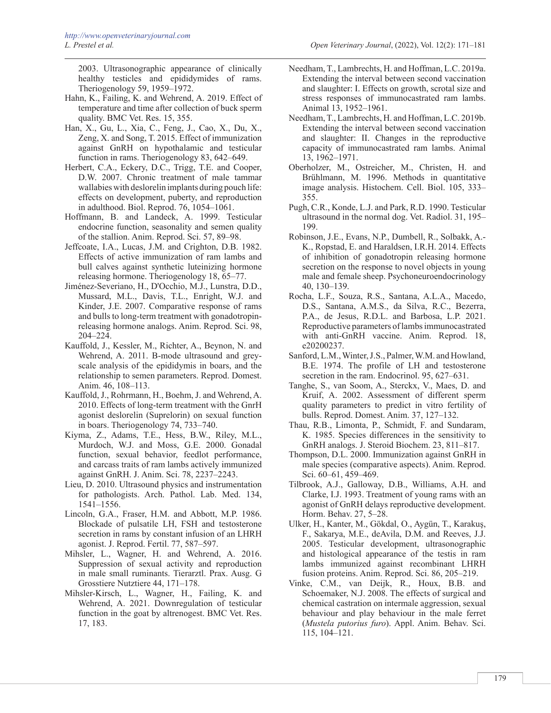2003. Ultrasonographic appearance of clinically healthy testicles and epididymides of rams. Theriogenology 59, 1959–1972.

- Hahn, K., Failing, K. and Wehrend, A. 2019. Effect of temperature and time after collection of buck sperm quality. BMC Vet. Res. 15, 355.
- Han, X., Gu, L., Xia, C., Feng, J., Cao, X., Du, X., Zeng, X. and Song, T. 2015. Effect of immunization against GnRH on hypothalamic and testicular function in rams. Theriogenology 83, 642–649.
- Herbert, C.A., Eckery, D.C., Trigg, T.E. and Cooper, D.W. 2007. Chronic treatment of male tammar wallabies with deslorelin implants during pouch life: effects on development, puberty, and reproduction in adulthood. Biol. Reprod. 76, 1054–1061.
- Hoffmann, B. and Landeck, A. 1999. Testicular endocrine function, seasonality and semen quality of the stallion. Anim. Reprod. Sci. 57, 89–98.
- Jeffcoate, I.A., Lucas, J.M. and Crighton, D.B. 1982. Effects of active immunization of ram lambs and bull calves against synthetic luteinizing hormone releasing hormone. Theriogenology 18, 65–77.
- Jiménez-Severiano, H., D'Occhio, M.J., Lunstra, D.D., Mussard, M.L., Davis, T.L., Enright, W.J. and Kinder, J.E. 2007. Comparative response of rams and bulls to long-term treatment with gonadotropinreleasing hormone analogs. Anim. Reprod. Sci. 98, 204–224.
- Kauffold, J., Kessler, M., Richter, A., Beynon, N. and Wehrend, A. 2011. B-mode ultrasound and greyscale analysis of the epididymis in boars, and the relationship to semen parameters. Reprod. Domest. Anim. 46, 108–113.
- Kauffold, J., Rohrmann, H., Boehm, J. and Wehrend, A. 2010. Effects of long-term treatment with the GnrH agonist deslorelin (Suprelorin) on sexual function in boars. Theriogenology 74, 733–740.
- Kiyma, Z., Adams, T.E., Hess, B.W., Riley, M.L., Murdoch, W.J. and Moss, G.E. 2000. Gonadal function, sexual behavior, feedlot performance, and carcass traits of ram lambs actively immunized against GnRH. J. Anim. Sci. 78, 2237–2243.
- Lieu, D. 2010. Ultrasound physics and instrumentation for pathologists. Arch. Pathol. Lab. Med. 134, 1541–1556.
- Lincoln, G.A., Fraser, H.M. and Abbott, M.P. 1986. Blockade of pulsatile LH, FSH and testosterone secretion in rams by constant infusion of an LHRH agonist. J. Reprod. Fertil. 77, 587–597.
- Mihsler, L., Wagner, H. and Wehrend, A. 2016. Suppression of sexual activity and reproduction in male small ruminants. Tierarztl. Prax. Ausg. G Grosstiere Nutztiere 44, 171–178.
- Mihsler-Kirsch, L., Wagner, H., Failing, K. and Wehrend, A. 2021. Downregulation of testicular function in the goat by altrenogest. BMC Vet. Res. 17, 183.
- Needham, T., Lambrechts, H. and Hoffman, L.C. 2019a. Extending the interval between second vaccination and slaughter: I. Effects on growth, scrotal size and stress responses of immunocastrated ram lambs. Animal 13, 1952–1961.
- Needham, T., Lambrechts, H. and Hoffman, L.C. 2019b. Extending the interval between second vaccination and slaughter: II. Changes in the reproductive capacity of immunocastrated ram lambs. Animal 13, 1962–1971.
- Oberholzer, M., Ostreicher, M., Christen, H. and Brühlmann, M. 1996. Methods in quantitative image analysis. Histochem. Cell. Biol. 105, 333– 355.
- Pugh, C.R., Konde, L.J. and Park, R.D. 1990. Testicular ultrasound in the normal dog. Vet. Radiol. 31, 195– 199.
- Robinson, J.E., Evans, N.P., Dumbell, R., Solbakk, A.- K., Ropstad, E. and Haraldsen, I.R.H. 2014. Effects of inhibition of gonadotropin releasing hormone secretion on the response to novel objects in young male and female sheep. Psychoneuroendocrinology 40, 130–139.
- Rocha, L.F., Souza, R.S., Santana, A.L.A., Macedo, D.S., Santana, A.M.S., da Silva, R.C., Bezerra, P.A., de Jesus, R.D.L. and Barbosa, L.P. 2021. Reproductive parameters of lambs immunocastrated with anti-GnRH vaccine. Anim. Reprod. 18, e20200237.
- Sanford, L.M., Winter, J.S., Palmer, W.M. and Howland, B.E. 1974. The profile of LH and testosterone secretion in the ram. Endocrinol. 95, 627–631.
- Tanghe, S., van Soom, A., Sterckx, V., Maes, D. and Kruif, A. 2002. Assessment of different sperm quality parameters to predict in vitro fertility of bulls. Reprod. Domest. Anim. 37, 127–132.
- Thau, R.B., Limonta, P., Schmidt, F. and Sundaram, K. 1985. Species differences in the sensitivity to GnRH analogs. J. Steroid Biochem. 23, 811–817.
- Thompson, D.L. 2000. Immunization against GnRH in male species (comparative aspects). Anim. Reprod. Sci. 60–61, 459–469.
- Tilbrook, A.J., Galloway, D.B., Williams, A.H. and Clarke, I.J. 1993. Treatment of young rams with an agonist of GnRH delays reproductive development. Horm. Behav. 27, 5–28.
- Ulker, H., Kanter, M., Gökdal, O., Aygün, T., Karakuş, F., Sakarya, M.E., deAvila, D.M. and Reeves, J.J. 2005. Testicular development, ultrasonographic and histological appearance of the testis in ram lambs immunized against recombinant LHRH fusion proteins. Anim. Reprod. Sci. 86, 205–219.
- Vinke, C.M., van Deijk, R., Houx, B.B. and Schoemaker, N.J. 2008. The effects of surgical and chemical castration on intermale aggression, sexual behaviour and play behaviour in the male ferret (*Mustela putorius furo*). Appl. Anim. Behav. Sci. 115, 104–121.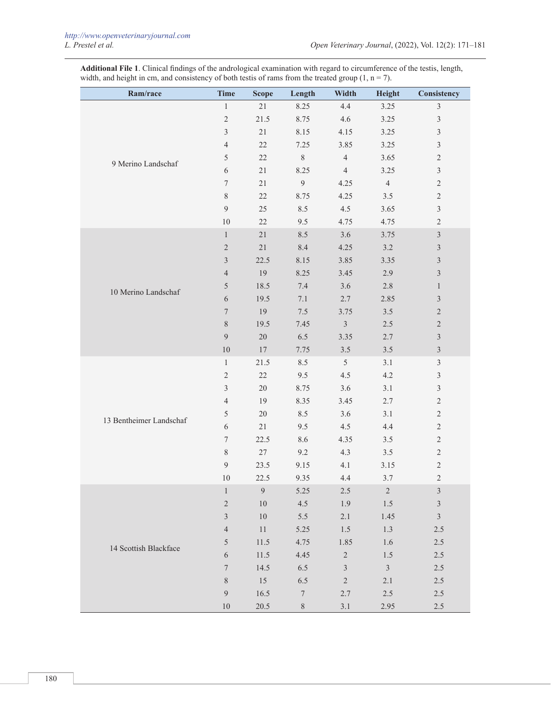**Additional File 1**. Clinical findings of the andrological examination with regard to circumference of the testis, length, width, and height in cm, and consistency of both testis of rams from the treated group  $(1, n = 7)$ .

| Ram/race                | <b>Time</b>      | <b>Scope</b>     | Length           | Width          | Height         | Consistency                 |
|-------------------------|------------------|------------------|------------------|----------------|----------------|-----------------------------|
|                         | $\mathbf{1}$     | 21               | 8.25             | 4.4            | 3.25           | $\mathfrak{Z}$              |
|                         | $\overline{c}$   | 21.5             | 8.75             | 4.6            | 3.25           | $\sqrt{3}$                  |
|                         | $\mathfrak{Z}$   | $21\,$           | 8.15             | 4.15           | 3.25           | $\mathfrak{Z}$              |
|                         | $\overline{4}$   | $22\,$           | 7.25             | 3.85           | 3.25           | $\mathfrak z$               |
| 9 Merino Landschaf      | 5                | $22\,$           | $\,$ $\,$        | $\overline{4}$ | 3.65           | $\sqrt{2}$                  |
|                         | 6                | 21               | 8.25             | $\overline{4}$ | 3.25           | $\mathfrak z$               |
|                         | $\boldsymbol{7}$ | $21\,$           | $\overline{9}$   | 4.25           | $\overline{4}$ | $\sqrt{2}$                  |
|                         | $8\,$            | 22               | 8.75             | 4.25           | $3.5$          | $\sqrt{2}$                  |
|                         | 9                | 25               | 8.5              | 4.5            | 3.65           | $\mathfrak{Z}$              |
|                         | $10\,$           | 22               | 9.5              | 4.75           | 4.75           | $\overline{2}$              |
|                         | $\mathbf{1}$     | $21\,$           | 8.5              | 3.6            | 3.75           | $\mathfrak{Z}$              |
|                         | $\sqrt{2}$       | 21               | 8.4              | 4.25           | $3.2\,$        | $\mathfrak{Z}$              |
|                         | 3                | 22.5             | 8.15             | 3.85           | 3.35           | $\mathfrak{Z}$              |
|                         | $\overline{4}$   | 19               | 8.25             | 3.45           | 2.9            | $\mathfrak{Z}$              |
| 10 Merino Landschaf     | 5                | 18.5             | 7.4              | 3.6            | $2.8\,$        | $\mathbf{1}$                |
|                         | 6                | 19.5             | 7.1              | 2.7            | 2.85           | $\mathfrak{Z}$              |
|                         | $\boldsymbol{7}$ | 19               | $7.5\,$          | 3.75           | $3.5$          | $\sqrt{2}$                  |
|                         | $8\,$            | 19.5             | 7.45             | $\mathfrak{Z}$ | $2.5\,$        | $\sqrt{2}$                  |
|                         | 9                | $20\,$           | 6.5              | 3.35           | 2.7            | $\mathfrak{Z}$              |
|                         | $10\,$           | $17\,$           | 7.75             | $3.5$          | $3.5$          | $\mathfrak{Z}$              |
|                         | $\mathbf{1}$     | 21.5             | 8.5              | 5              | 3.1            | $\mathfrak{Z}$              |
|                         | $\overline{c}$   | $22\,$           | 9.5              | 4.5            | 4.2            | $\sqrt{3}$                  |
|                         | $\mathfrak{Z}$   | $20\,$           | 8.75             | 3.6            | 3.1            | $\mathfrak{Z}$              |
|                         | $\overline{4}$   | 19               | 8.35             | 3.45           | 2.7            | $\sqrt{2}$                  |
| 13 Bentheimer Landschaf | 5                | $20\,$           | 8.5              | 3.6            | 3.1            | $\sqrt{2}$                  |
|                         | 6                | $21\,$           | 9.5              | 4.5            | 4.4            | $\sqrt{2}$                  |
|                         | $\tau$           | 22.5             | 8.6              | 4.35           | $3.5$          | $\mathbf{2}$                |
|                         | $8\,$            | $27\,$           | 9.2              | 4.3            | $3.5$          | $\sqrt{2}$                  |
|                         | 9                | 23.5             | 9.15             | 4.1            | 3.15           | $\sqrt{2}$                  |
|                         | 10               | 22.5             | 9.35             | 4.4            | 3.7            | $\overline{2}$              |
|                         | $\,1$            | $\boldsymbol{9}$ | 5.25             | 2.5            | $\sqrt{2}$     | $\mathfrak{Z}$              |
|                         | $\overline{c}$   | $10\,$           | 4.5              | 1.9            | 1.5            | $\ensuremath{\mathfrak{Z}}$ |
|                         | $\overline{3}$   | $10\,$           | 5.5              | 2.1            | 1.45           | $\sqrt{3}$                  |
|                         | $\overline{4}$   | $11\,$           | 5.25             | 1.5            | 1.3            | $2.5\,$                     |
| 14 Scottish Blackface   | 5                | 11.5             | 4.75             | 1.85           | 1.6            | $2.5\,$                     |
|                         | $\sqrt{6}$       | 11.5             | 4.45             | $\overline{2}$ | 1.5            | $2.5\,$                     |
|                         | $\boldsymbol{7}$ | 14.5             | 6.5              | $\mathfrak{Z}$ | $\mathfrak{Z}$ | $2.5\,$                     |
|                         | $8\,$            | 15               | 6.5              | $\overline{c}$ | 2.1            | $2.5\,$                     |
|                         | 9                | $16.5\,$         | $\boldsymbol{7}$ | 2.7            | $2.5\,$        | $2.5\,$                     |
|                         | $10\,$           | 20.5             | $8\,$            | $3.1\,$        | 2.95           | $2.5\,$                     |